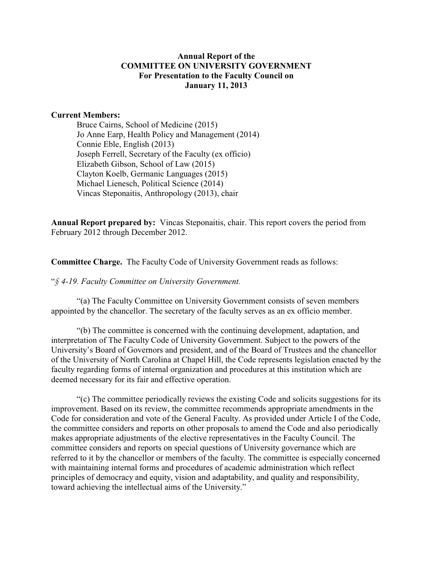## **Annual Report of the COMMITTEE ON UNIVERSITY GOVERNMENT For Presentation to the Faculty Council on January 11, 2013**

#### **Current Members:**

Bruce Cairns, School of Medicine (2015) Jo Anne Earp, Health Policy and Management (2014) Connie Eble, English (2013) Joseph Ferrell, Secretary of the Faculty (ex officio) Elizabeth Gibson, School of Law (2015) Clayton Koelb, Germanic Languages (2015) Michael Lienesch, Political Science (2014) Vincas Steponaitis, Anthropology (2013), chair

**Annual Report prepared by:** Vincas Steponaitis, chair. This report covers the period from February 2012 through December 2012.

**Committee Charge.** The Faculty Code of University Government reads as follows:

"*§ 4-19. Faculty Committee on University Government.* 

"(a) The Faculty Committee on University Government consists of seven members appointed by the chancellor. The secretary of the faculty serves as an ex officio member.

"(b) The committee is concerned with the continuing development, adaptation, and interpretation of The Faculty Code of University Government. Subject to the powers of the University's Board of Governors and president, and of the Board of Trustees and the chancellor of the University of North Carolina at Chapel Hill, the Code represents legislation enacted by the faculty regarding forms of internal organization and procedures at this institution which are deemed necessary for its fair and effective operation.

"(c) The committee periodically reviews the existing Code and solicits suggestions for its improvement. Based on its review, the committee recommends appropriate amendments in the Code for consideration and vote of the General Faculty. As provided under Article I of the Code, the committee considers and reports on other proposals to amend the Code and also periodically makes appropriate adjustments of the elective representatives in the Faculty Council. The committee considers and reports on special questions of University governance which are referred to it by the chancellor or members of the faculty. The committee is especially concerned with maintaining internal forms and procedures of academic administration which reflect principles of democracy and equity, vision and adaptability, and quality and responsibility, toward achieving the intellectual aims of the University."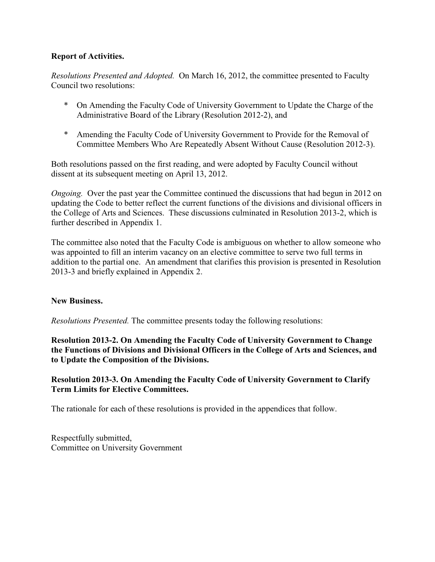## **Report of Activities.**

*Resolutions Presented and Adopted.* On March 16, 2012, the committee presented to Faculty Council two resolutions:

- \* On Amending the Faculty Code of University Government to Update the Charge of the Administrative Board of the Library (Resolution 2012-2), and
- \* Amending the Faculty Code of University Government to Provide for the Removal of Committee Members Who Are Repeatedly Absent Without Cause (Resolution 2012-3).

Both resolutions passed on the first reading, and were adopted by Faculty Council without dissent at its subsequent meeting on April 13, 2012.

*Ongoing.* Over the past year the Committee continued the discussions that had begun in 2012 on updating the Code to better reflect the current functions of the divisions and divisional officers in the College of Arts and Sciences. These discussions culminated in Resolution 2013-2, which is further described in Appendix 1.

The committee also noted that the Faculty Code is ambiguous on whether to allow someone who was appointed to fill an interim vacancy on an elective committee to serve two full terms in addition to the partial one. An amendment that clarifies this provision is presented in Resolution 2013-3 and briefly explained in Appendix 2.

#### **New Business.**

*Resolutions Presented.* The committee presents today the following resolutions:

**Resolution 2013-2. On Amending the Faculty Code of University Government to Change the Functions of Divisions and Divisional Officers in the College of Arts and Sciences, and to Update the Composition of the Divisions.**

## **Resolution 2013-3. On Amending the Faculty Code of University Government to Clarify Term Limits for Elective Committees.**

The rationale for each of these resolutions is provided in the appendices that follow.

Respectfully submitted, Committee on University Government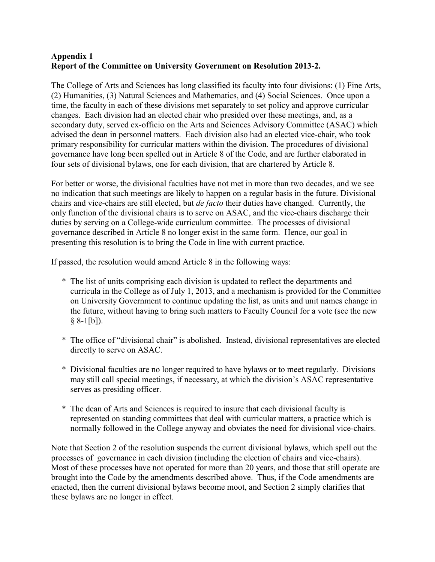## **Appendix 1 Report of the Committee on University Government on Resolution 2013-2.**

The College of Arts and Sciences has long classified its faculty into four divisions: (1) Fine Arts, (2) Humanities, (3) Natural Sciences and Mathematics, and (4) Social Sciences. Once upon a time, the faculty in each of these divisions met separately to set policy and approve curricular changes. Each division had an elected chair who presided over these meetings, and, as a secondary duty, served ex-officio on the Arts and Sciences Advisory Committee (ASAC) which advised the dean in personnel matters. Each division also had an elected vice-chair, who took primary responsibility for curricular matters within the division. The procedures of divisional governance have long been spelled out in Article 8 of the Code, and are further elaborated in four sets of divisional bylaws, one for each division, that are chartered by Article 8.

For better or worse, the divisional faculties have not met in more than two decades, and we see no indication that such meetings are likely to happen on a regular basis in the future. Divisional chairs and vice-chairs are still elected, but *de facto* their duties have changed. Currently, the only function of the divisional chairs is to serve on ASAC, and the vice-chairs discharge their duties by serving on a College-wide curriculum committee. The processes of divisional governance described in Article 8 no longer exist in the same form. Hence, our goal in presenting this resolution is to bring the Code in line with current practice.

If passed, the resolution would amend Article 8 in the following ways:

- \* The list of units comprising each division is updated to reflect the departments and curricula in the College as of July 1, 2013, and a mechanism is provided for the Committee on University Government to continue updating the list, as units and unit names change in the future, without having to bring such matters to Faculty Council for a vote (see the new  $§ 8-1[b]$ ).
- \* The office of "divisional chair" is abolished. Instead, divisional representatives are elected directly to serve on ASAC.
- \* Divisional faculties are no longer required to have bylaws or to meet regularly. Divisions may still call special meetings, if necessary, at which the division's ASAC representative serves as presiding officer.
- \* The dean of Arts and Sciences is required to insure that each divisional faculty is represented on standing committees that deal with curricular matters, a practice which is normally followed in the College anyway and obviates the need for divisional vice-chairs.

Note that Section 2 of the resolution suspends the current divisional bylaws, which spell out the processes of governance in each division (including the election of chairs and vice-chairs). Most of these processes have not operated for more than 20 years, and those that still operate are brought into the Code by the amendments described above. Thus, if the Code amendments are enacted, then the current divisional bylaws become moot, and Section 2 simply clarifies that these bylaws are no longer in effect.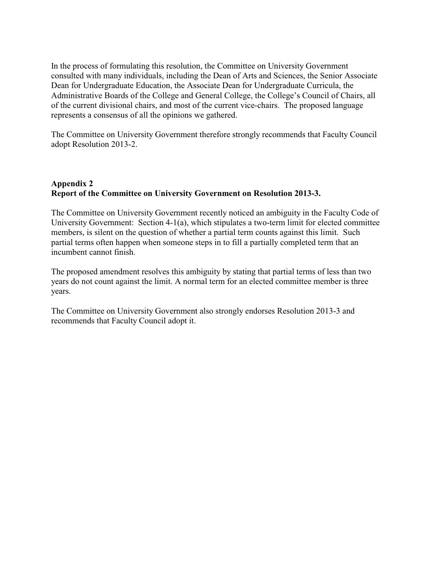In the process of formulating this resolution, the Committee on University Government consulted with many individuals, including the Dean of Arts and Sciences, the Senior Associate Dean for Undergraduate Education, the Associate Dean for Undergraduate Curricula, the Administrative Boards of the College and General College, the College's Council of Chairs, all of the current divisional chairs, and most of the current vice-chairs. The proposed language represents a consensus of all the opinions we gathered.

The Committee on University Government therefore strongly recommends that Faculty Council adopt Resolution 2013-2.

## **Appendix 2 Report of the Committee on University Government on Resolution 2013-3.**

The Committee on University Government recently noticed an ambiguity in the Faculty Code of University Government: Section 4-1(a), which stipulates a two-term limit for elected committee members, is silent on the question of whether a partial term counts against this limit. Such partial terms often happen when someone steps in to fill a partially completed term that an incumbent cannot finish.

The proposed amendment resolves this ambiguity by stating that partial terms of less than two years do not count against the limit. A normal term for an elected committee member is three years.

The Committee on University Government also strongly endorses Resolution 2013-3 and recommends that Faculty Council adopt it.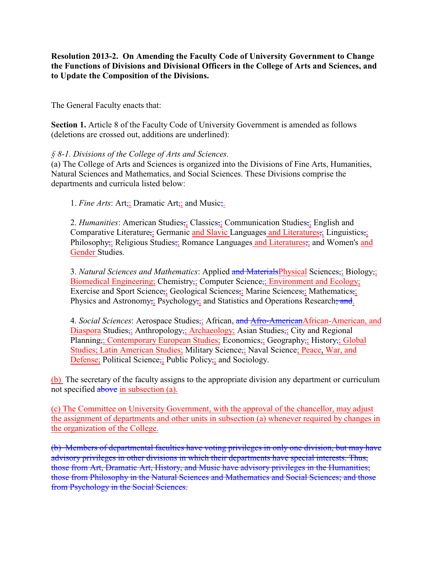**Resolution 2013-2. On Amending the Faculty Code of University Government to Change the Functions of Divisions and Divisional Officers in the College of Arts and Sciences, and to Update the Composition of the Divisions.**

The General Faculty enacts that:

**Section 1.** Article 8 of the Faculty Code of University Government is amended as follows (deletions are crossed out, additions are underlined):

## *§ 8-1. Divisions of the College of Arts and Sciences.*

(a) The College of Arts and Sciences is organized into the Divisions of Fine Arts, Humanities, Natural Sciences and Mathematics, and Social Sciences. These Divisions comprise the departments and curricula listed below:

1. *Fine Arts*: Art<sub>;</sub>; Dramatic Art<sub>;</sub>; and Music;.

2. *Humanities*: American Studies,; Classics,; Communication Studies,; English and Comparative Literature;; Germanic and Slavic Languages and Literatures;; Linguistics;; Philosophy; Religious Studies; Romance Languages and Literatures; and Women's and Gender Studies.

3. *Natural Sciences and Mathematics*: Applied and MaterialsPhysical Sciences,; Biology,; Biomedical Engineering; Chemistry,; Computer Science,; Environment and Ecology; Exercise and Sport Science;; Geological Sciences;; Marine Sciences;; Mathematics;; Physics and Astronomy; Psychology; and Statistics and Operations Research; and.

4. *Social Sciences*: Aerospace Studies;; African, and Afro-AmericanAfrican-American, and Diaspora Studies;; Anthropology;; Archaeology; Asian Studies;; City and Regional Planning,; Contemporary European Studies; Economics,; Geography,; History,; Global Studies; Latin American Studies; Military Science,; Naval Science; Peace, War, and Defense; Political Science; Public Policy;; and Sociology.

(b) The secretary of the faculty assigns to the appropriate division any department or curriculum not specified above in subsection (a).

(c) The Committee on University Government, with the approval of the chancellor, may adjust the assignment of departments and other units in subsection (a) whenever required by changes in the organization of the College.

(b) Members of departmental faculties have voting privileges in only one division, but may have advisory privileges in other divisions in which their departments have special interests. Thus, those from Art, Dramatic Art, History, and Music have advisory privileges in the Humanities; those from Philosophy in the Natural Sciences and Mathematics and Social Sciences; and those from Psychology in the Social Sciences.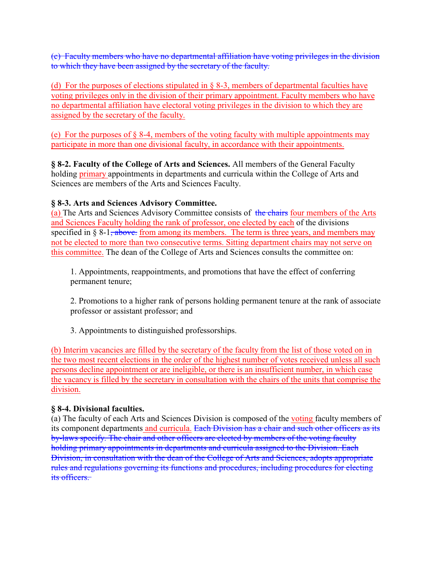(c) Faculty members who have no departmental affiliation have voting privileges in the division to which they have been assigned by the secretary of the faculty.

(d) For the purposes of elections stipulated in  $\S$  8-3, members of departmental faculties have voting privileges only in the division of their primary appointment. Faculty members who have no departmental affiliation have electoral voting privileges in the division to which they are assigned by the secretary of the faculty.

(e) For the purposes of  $\S$  8-4, members of the voting faculty with multiple appointments may participate in more than one divisional faculty, in accordance with their appointments.

**§ 8-2. Faculty of the College of Arts and Sciences.** All members of the General Faculty holding primary appointments in departments and curricula within the College of Arts and Sciences are members of the Arts and Sciences Faculty.

# **§ 8-3. Arts and Sciences Advisory Committee.**

(a) The Arts and Sciences Advisory Committee consists of the chairs four members of the Arts and Sciences Faculty holding the rank of professor, one elected by each of the divisions specified in  $\S 8-1$ , above. from among its members. The term is three years, and members may not be elected to more than two consecutive terms. Sitting department chairs may not serve on this committee. The dean of the College of Arts and Sciences consults the committee on:

1. Appointments, reappointments, and promotions that have the effect of conferring permanent tenure;

2. Promotions to a higher rank of persons holding permanent tenure at the rank of associate professor or assistant professor; and

3. Appointments to distinguished professorships.

(b) Interim vacancies are filled by the secretary of the faculty from the list of those voted on in the two most recent elections in the order of the highest number of votes received unless all such persons decline appointment or are ineligible, or there is an insufficient number, in which case the vacancy is filled by the secretary in consultation with the chairs of the units that comprise the division.

# **§ 8-4. Divisional faculties.**

(a) The faculty of each Arts and Sciences Division is composed of the voting faculty members of its component departments and curricula. Each Division has a chair and such other officers as its by-laws specify. The chair and other officers are elected by members of the voting faculty holding primary appointments in departments and curricula assigned to the Division. Each Division, in consultation with the dean of the College of Arts and Sciences, adopts appropriate rules and regulations governing its functions and procedures, including procedures for electing its officers.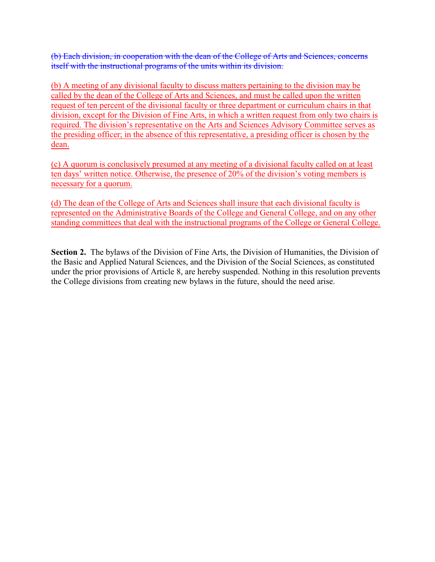(b) Each division, in cooperation with the dean of the College of Arts and Sciences, concerns itself with the instructional programs of the units within its division.

(b) A meeting of any divisional faculty to discuss matters pertaining to the division may be called by the dean of the College of Arts and Sciences, and must be called upon the written request of ten percent of the divisional faculty or three department or curriculum chairs in that division, except for the Division of Fine Arts, in which a written request from only two chairs is required. The division's representative on the Arts and Sciences Advisory Committee serves as the presiding officer; in the absence of this representative, a presiding officer is chosen by the dean.

(c) A quorum is conclusively presumed at any meeting of a divisional faculty called on at least ten days' written notice. Otherwise, the presence of 20% of the division's voting members is necessary for a quorum.

(d) The dean of the College of Arts and Sciences shall insure that each divisional faculty is represented on the Administrative Boards of the College and General College, and on any other standing committees that deal with the instructional programs of the College or General College.

**Section 2.** The bylaws of the Division of Fine Arts, the Division of Humanities, the Division of the Basic and Applied Natural Sciences, and the Division of the Social Sciences, as constituted under the prior provisions of Article 8, are hereby suspended. Nothing in this resolution prevents the College divisions from creating new bylaws in the future, should the need arise.